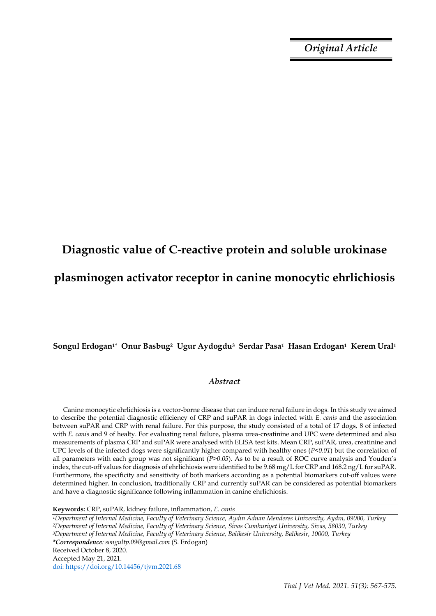*Original Article*

# **Diagnostic value of C-reactive protein and soluble urokinase plasminogen activator receptor in canine monocytic ehrlichiosis**

# **Songul Erdogan1\* Onur Basbug2 Ugur Aydogdu3 Serdar Pasa1 Hasan Erdogan1 Kerem Ural<sup>1</sup>**

# *Abstract*

Canine monocytic ehrlichiosis is a vector-borne disease that can induce renal failure in dogs. In this study we aimed to describe the potential diagnostic efficiency of CRP and suPAR in dogs infected with *E. canis* and the association between suPAR and CRP with renal failure. For this purpose, the study consisted of a total of 17 dogs, 8 of infected with *E. canis* and 9 of healty. For evaluating renal failure, plasma urea-creatinine and UPC were determined and also measurements of plasma CRP and suPAR were analysed with ELISA test kits. Mean CRP, suPAR, urea, creatinine and UPC levels of the infected dogs were significantly higher compared with healthy ones (*P<0.01*) but the correlation of all parameters with each group was not significant (*P>0.05*). As to be a result of ROC curve analysis and Youden's index, the cut-off values for diagnosis of ehrlichiosis were identified to be 9.68 mg/L for CRP and 168.2 ng/L for suPAR. Furthermore, the specificity and sensitivity of both markers according as a potential biomarkers cut-off values were determined higher. In conclusion, traditionally CRP and currently suPAR can be considered as potential biomarkers and have a diagnostic significance following inflammation in canine ehrlichiosis.

**Keywords:** CRP, suPAR, kidney failure, inflammation, *E. canis*

*<sup>1</sup>Department of Internal Medicine, Faculty of Veterinary Science, Aydın Adnan Menderes University, Aydın, 09000, Turkey <sup>2</sup>Department of Internal Medicine, Faculty of Veterinary Science, Sivas Cumhuriyet University, Sivas, 58030, Turkey <sup>3</sup>Department of Internal Medicine, Faculty of Veterinary Science, Balikesir University, Balikesir, 10000, Turkey \*Correspondence: songultp.09@gmail.com* (S. Erdogan) Received October 8, 2020. Accepted May 21, 2021. doi: https://doi.org/10.14456/tjvm.2021.68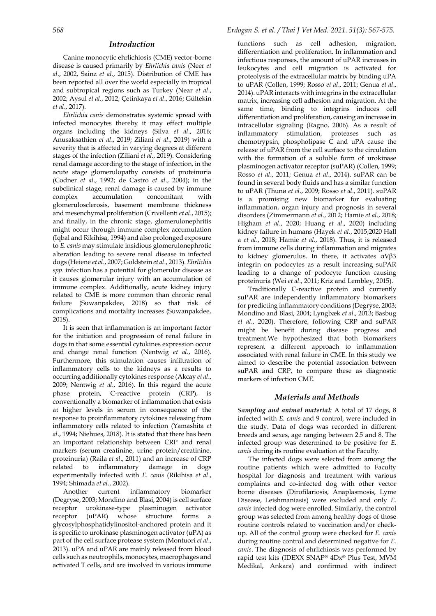### *Introduction*

Canine monocytic ehrlichiosis (CME) vector-borne disease is caused primarily by *Ehrlichia canis* (Neer *et al*., 2002, Sainz *et al*., 2015). Distribution of CME has been reported all over the world especially in tropical and subtropical regions such as Turkey (Near *et al*., 2002; Aysul *et al*., 2012; Çetinkaya *et al*., 2016; Gültekin *et al*., 2017).

*Ehrlichia canis* demonstrates systemic spread with infected monocytes thereby it may effect multiple organs including the kidneys (Silva *et al*., 2016; Anusaksathien *et al*., 2019; Ziliani *et al*., 2019) with a severity that is affected in varying degrees at different stages of the infection (Ziliani *et al*., 2019). Considering renal damage according to the stage of infection, in the acute stage glomerulopathy consists of proteinuria (Codner *et al*., 1992; de Castro *et al*., 2004); in the subclinical stage, renal damage is caused by immune complex accumulation concomitant with glomerulosclerosis, basement membrane thickness and mesenchymal proliferation (Crivellenti *et al*., 2015); and finally, in the chronic stage, glomerulonephritis might occur through immune complex accumulation (Iqbal and Rikihisa, 1994) and also prolonged exposure to *E. canis* may stimulate insidious glomerulonephrotic alteration leading to severe renal disease in infected dogs (Heiene *et al*., 2007; Goldstein *et al*., 2013). *Ehrlichia spp*. infection has a potential for glomerular disease as it causes glomerular injury with an accumulation of immune complex. Additionally, acute kidney injury related to CME is more common than chronic renal failure (Suwanpakdee, 2018) so that risk of complications and mortality increases (Suwanpakdee, 2018).

It is seen that inflammation is an important factor for the initiation and progression of renal failure in dogs in that some essential cytokines expression occur and change renal function (Nentwig *et al*., 2016). Furthermore, this stimulation causes infiltration of inflammatory cells to the kidneys as a results to occurring additionally cytokines response (Akcay *et al*., 2009; Nentwig *et al*., 2016). In this regard the acute phase protein, C-reactive protein (CRP), is conventionally a biomarker of inflammation that exists at higher levels in serum in consequence of the response to proinflammatory cytokines releasing from inflammatory cells related to infection (Yamashita *et al*., 1994; Niehues, 2018). It is stated that there has been an important relationship between CRP and renal markers (serum creatinine, urine protein/creatinine, proteinuria) (Raila *et al*., 2011) and an increase of CRP related to inflammatory damage in dogs experimentally infected with *E. canis* (Rikihisa *et al*., 1994; Shimada *et al*., 2002).

Another current inflammatory biomarker (Degryse, 2003; Mondino and Blasi, 2004) is cell surface receptor urokinase-type plasminogen activator receptor (uPAR) whose structure forms a glycosylphosphatidylinositol-anchored protein and it is specific to urokinase plasminogen activator (uPA) as part of the cell surface protease system (Montuori *et al*., 2013). uPA and uPAR are mainly released from blood cells such as neutrophils, monocytes, macrophages and activated T cells, and are involved in various immune

functions such as cell adhesion, migration, differentiation and proliferation. In inflammation and infectious responses, the amount of uPAR increases in leukocytes and cell migration is activated for proteolysis of the extracellular matrix by binding uPA to uPAR (Collen, 1999; Rosso *et al*., 2011; Genua *et al*., 2014). uPAR interacts with integrins in the extracellular matrix, increasing cell adhesion and migration. At the same time, binding to integrins induces cell differentiation and proliferation, causing an increase in intracellular signaling (Ragno, 2006). As a result of inflammatory stimulation, proteases such as chemotrypsin, phospholipase  $\overline{C}$  and uPA cause the release of uPAR from the cell surface to the circulation with the formation of a soluble form of urokinase plasminogen activator receptor (suPAR) (Collen, 1999; Rosso *et al*., 2011; Genua *et al*., 2014). suPAR can be found in several body fluids and has a similar function to uPAR (Thunø *et al*., 2009; Rosso *et al*., 2011). suPAR is a promising new biomarker for evaluating inflammation, organ injury and prognosis in several disorders (Zimmermann *et al*., 2012; Hamie *et al*., 2018; Higham *et al*., 2020; Huang *et al*., 2020) including kidney failure in humans (Hayek *et al*., 2015;2020 Hall a *et al*., 2018; Hamie *et al*., 2018). Thus, it is released from immune cells during inflammation and migrates to kidney glomerulus. In there, it activates αVβ3 integrin on podocytes as a result increasing suPAR leading to a change of podocyte function causing proteinuria (Wei *et al*., 2011; Kriz and Lembley, 2015).

Traditionally C-reactive protein and currently suPAR are independently inflammatory biomarkers for predicting inflammatory conditions (Degryse, 2003; Mondino and Blasi, 2004; Lyngbæk *et al*., 2013; Basbug *et al*., 2020). Therefore, following CRP and suPAR might be benefit during disease progress and treatment.We hypothesized that both biomarkers represent a different approach to inflammation associated with renal failure in CME. In this study we aimed to describe the potential association between suPAR and CRP, to compare these as diagnostic markers of infection CME.

### *Materials and Methods*

*Sampling and animal material:* A total of 17 dogs, 8 infected with *E. canis* and 9 control, were included in the study. Data of dogs was recorded in different breeds and sexes, age ranging between 2.5 and 8. The infected group was determined to be positive for *E. canis* during its routine evaluation at the Faculty.

The infected dogs were selected from among the routine patients which were admitted to Faculty hospital for diagnosis and treatment with various complaints and co-infected dog with other vector borne diseases (Dirofilariosis, Anaplasmosis, Lyme Disease, Leishmaniasis) were excluded and only *E. canis* infected dog were enrolled. Similarly, the control group was selected from among healthy dogs of those routine controls related to vaccination and/or checkup. All of the control group were checked for *E. canis* during routine control and determined negative for *E. canis*. The diagnosis of ehrlichiosis was performed by rapid test kits (IDEXX SNAP® 4Dx® Plus Test, MVM Medikal, Ankara) and confirmed with indirect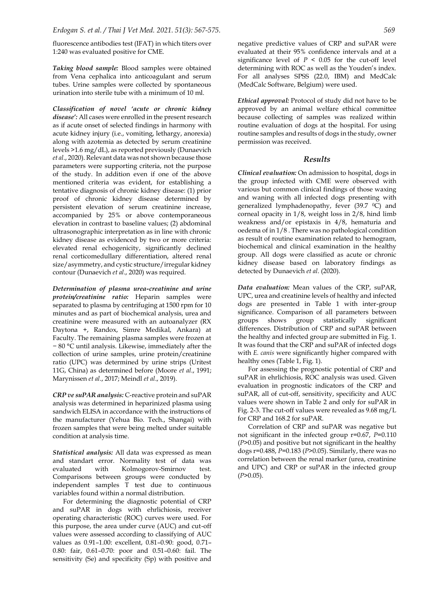fluorescence antibodies test (IFAT) in which titers over 1:240 was evaluated positive for CME.

*Taking blood sample:* Blood samples were obtained from Vena cephalica into anticoagulant and serum tubes. Urine samples were collected by spontaneous urination into sterile tube with a minimum of 10 ml.

*Classification of novel 'acute or chronic kidney disease':* All cases were enrolled in the present research as if acute onset of selected findings in harmony with acute kidney injury (i.e., vomiting, lethargy, anorexia) along with azotemia as detected by serum creatinine levels >1.6 mg/dL), as reported previously (Dunaevich *et al*., 2020). Relevant data was not shown because those parameters were supporting criteria, not the purpose of the study. In addition even if one of the above mentioned criteria was evident, for establishing a tentative diagnosis of chronic kidney disease: (1) prior proof of chronic kidney disease determined by persistent elevation of serum creatinine increase, accompanied by 25% or above contemporaneous elevation in contrast to baseline values; (2) abdominal ultrasonographic interpretation as in line with chronic kidney disease as evidenced by two or more criteria: elevated renal echogenicity, significantly declined renal corticomedullary differentiation, altered renal size/asymmetry, and cystic structure/irregular kidney contour (Dunaevich *et al*., 2020) was required.

*Determination of plasma urea-creatinine and urine protein/creatinine ratio:* Heparin samples were separated to plasma by centrifuging at 1500 rpm for 10 minutes and as part of biochemical analysis, urea and creatinine were measured with an autoanalyzer (RX Daytona +, Randox, Simre Medikal, Ankara) at Faculty. The remaining plasma samples were frozen at − 80 °C until analysis. Likewise, immediately after the collection of urine samples, urine protein/creatinine ratio (UPC) was determined by urine strips (Uritest 11G, China) as determined before (Moore *et al*., 1991; Marynissen *et al*., 2017; Meindl *et al*., 2019).

*CRP ve suPAR analysis:* C-reactive protein and suPAR analysis was determined in heparinized plasma using sandwich ELISA in accordance with the instructions of the manufacturer (Yehua Bio. Tech., Shangai) with frozen samples that were being melted under suitable condition at analysis time.

*Statistical analysis:* All data was expressed as mean and standart error. Normality test of data was evaluated with Kolmogorov-Smirnov test. Comparisons between groups were conducted by independent samples T test due to continuous variables found within a normal distribution.

For determining the diagnostic potential of CRP and suPAR in dogs with ehrlichiosis, receiver operating characteristic (ROC) curves were used. For this purpose, the area under curve (AUC) and cut-off values were assessed according to classifying of AUC values as 0.91–1.00: excellent, 0.81–0.90: good, 0.71– 0.80: fair, 0.61–0.70: poor and 0.51–0.60: fail. The sensitivity (Se) and specificity (Sp) with positive and negative predictive values of CRP and suPAR were evaluated at their 95% confidence intervals and at a significance level of  $P < 0.05$  for the cut-off level determining with ROC as well as the Youden's index. For all analyses SPSS (22.0, IBM) and MedCalc (MedCalc Software, Belgium) were used.

*Ethical approval:* Protocol of study did not have to be approved by an animal welfare ethical committee because collecting of samples was realized within routine evaluation of dogs at the hospital. For using routine samples and results of dogs in the study, owner permission was received.

## *Results*

*Clinical evaluation:* On admission to hospital, dogs in the group infected with CME were observed with various but common clinical findings of those waxing and waning with all infected dogs presenting with generalized lymphadenopathy, fever (39.7 <sup>0</sup>C) and corneal opacity in 1/8, weight loss in 2/8, hind limb weakness and/or epistaxis in 4/8, hematuria and oedema of in 1/8 . There was no pathological condition as result of routine examination related to hemogram, biochemical and clinical examination in the healthy group. All dogs were classified as acute or chronic kidney disease based on laboratory findings as detected by Dunaevich *et al*. (2020).

*Data evaluation:* Mean values of the CRP, suPAR, UPC, urea and creatinine levels of healthy and infected dogs are presented in Table 1 with inter-group significance. Comparison of all parameters between groups shows group statistically significant differences. Distribution of CRP and suPAR between the healthy and infected group are submitted in Fig. 1. It was found that the CRP and suPAR of infected dogs with *E. canis* were significantly higher compared with healthy ones (Table 1, Fig. 1).

For assessing the prognostic potential of CRP and suPAR in ehrlichiosis, ROC analysis was used. Given evaluation in prognostic indicators of the CRP and suPAR, all of cut-off, sensitivity, specificity and AUC values were shown in Table 2 and only for suPAR in Fig. 2-3. The cut-off values were revealed as 9.68 mg/L for CRP and 168.2 for suPAR.

Correlation of CRP and suPAR was negative but not significant in the infected group r=0.67, *P*=0.110 (*P*>0.05) and positive but not significant in the healthy dogs r=0.488, *P*=0.183 (*P*>0.05). Similarly, there was no correlation between the renal marker (urea, creatinine and UPC) and CRP or suPAR in the infected group (*P*>0.05).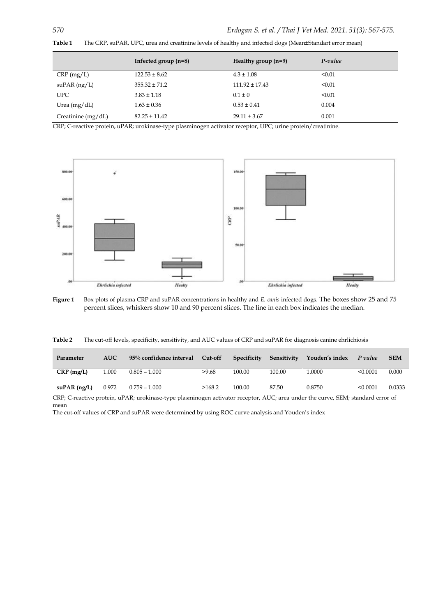|                      | Infected group $(n=8)$ | Healthy group $(n=9)$ | P-value |
|----------------------|------------------------|-----------------------|---------|
| CRP(mg/L)            | $122.53 \pm 8.62$      | $4.3 \pm 1.08$        | < 0.01  |
| $\supAR(ng/L)$       | $355.32 \pm 71.2$      | $111.92 \pm 17.43$    | < 0.01  |
| UPC.                 | $3.83 \pm 1.18$        | $0.1 \pm 0$           | < 0.01  |
| Urea $(mg/dL)$       | $1.63 \pm 0.36$        | $0.53 \pm 0.41$       | 0.004   |
| Creatinine $(mg/dL)$ | $82.25 \pm 11.42$      | $29.11 \pm 3.67$      | 0.001   |

**Table 1** The CRP, suPAR, UPC, urea and creatinine levels of healthy and infected dogs (Mean±Standart error mean)

CRP; C-reactive protein, uPAR; urokinase-type plasminogen activator receptor, UPC; urine protein/creatinine.



**Figure 1** Box plots of plasma CRP and suPAR concentrations in healthy and *E. canis* infected dogs. The boxes show 25 and 75 percent slices, whiskers show 10 and 90 percent slices. The line in each box indicates the median.

**Table 2** The cut-off levels, specificity, sensitivity, and AUC values of CRP and suPAR for diagnosis canine ehrlichiosis

| Parameter      | <b>AUC</b> | 95% confidence interval | Cut-off | Specificity | Sensitivity | Youden's index | P value  | <b>SEM</b> |
|----------------|------------|-------------------------|---------|-------------|-------------|----------------|----------|------------|
| $CRP$ (mg/L)   | 1.000      | $0.805 - 1.000$         | >9.68   | 100.00      | 100.00      | 1.0000         | < 0.0001 | 0.000      |
| $suPAR$ (ng/L) | 0.972      | $0.759 - 1.000$         | >168.2  | 100.00      | 87.50       | 0.8750         | < 0.0001 | 0.0333     |

CRP; C-reactive protein, uPAR; urokinase-type plasminogen activator receptor, AUC; area under the curve, SEM; standard error of mean

The cut-off values of CRP and suPAR were determined by using ROC curve analysis and Youden's index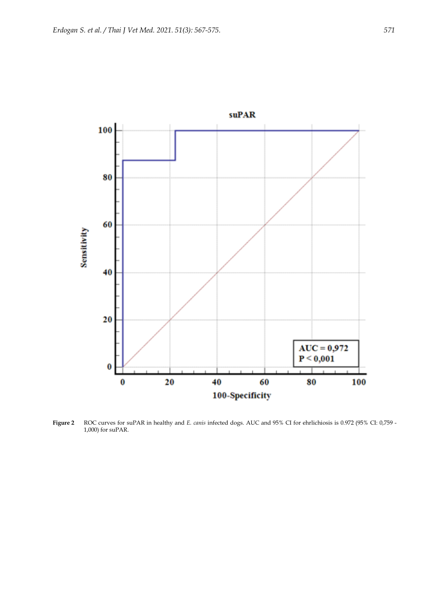

**Figure 2** ROC curves for suPAR in healthy and *E. canis* infected dogs. AUC and 95% CI for ehrlichiosis is 0.972 (95% CI: 0,759 - 1,000) for suPAR.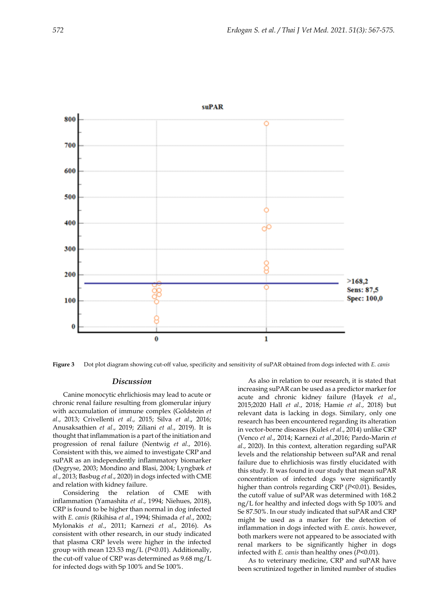

**Figure 3** Dot plot diagram showing cut-off value, specificity and sensitivity of suPAR obtained from dogs infected with *E. canis*

### *Discussion*

Canine monocytic ehrlichiosis may lead to acute or chronic renal failure resulting from glomerular injury with accumulation of immune complex (Goldstein *et al*., 2013; Crivellenti *et al*., 2015; Silva *et al*., 2016; Anusaksathien *et al*., 2019; Ziliani *et al*., 2019). It is thought that inflammation is a part of the initiation and progression of renal failure (Nentwig *et al*., 2016). Consistent with this, we aimed to investigate CRP and suPAR as an independently inflammatory biomarker (Degryse, 2003; Mondino and Blasi, 2004; Lyngbæk *et al*., 2013; Basbug *et al*., 2020) in dogs infected with CME and relation with kidney failure.

Considering the relation of CME with inflammation (Yamashita *et al*., 1994; Niehues, 2018), CRP is found to be higher than normal in dog infected with *E. canis* (Rikihisa *et al*., 1994; Shimada *et al*., 2002; Mylonakis *et al*., 2011; Karnezi *et al*., 2016). As consistent with other research, in our study indicated that plasma CRP levels were higher in the infected group with mean 123.53 mg/L (*P*<0.01). Additionally, the cut-off value of CRP was determined as 9.68 mg/L for infected dogs with Sp 100% and Se 100%.

As also in relation to our research, it is stated that increasing suPAR can be used as a predictor marker for acute and chronic kidney failure (Hayek *et al*., 2015;2020 Hall *et al*., 2018; Hamie *et al*., 2018) but relevant data is lacking in dogs. Similary, only one research has been encountered regarding its alteration in vector-borne diseases (Kuleš *et al*., 2014) unlike CRP (Venco *et al*., 2014; Karnezi *et al*.,2016; Pardo-Marin *et al*., 2020). In this context, alteration regarding suPAR levels and the relationship between suPAR and renal failure due to ehrlichiosis was firstly elucidated with this study. It was found in our study that mean suPAR concentration of infected dogs were significantly higher than controls regarding CRP (*P*<0.01). Besides, the cutoff value of suPAR was determined with 168.2 ng/L for healthy and infected dogs with Sp 100% and Se 87.50%. In our study indicated that suPAR and CRP might be used as a marker for the detection of inflammation in dogs infected with *E. canis*. however, both markers were not appeared to be associated with renal markers to be significantly higher in dogs infected with *E. canis* than healthy ones (*P*<0.01).

As to veterinary medicine, CRP and suPAR have been scrutinized together in limited number of studies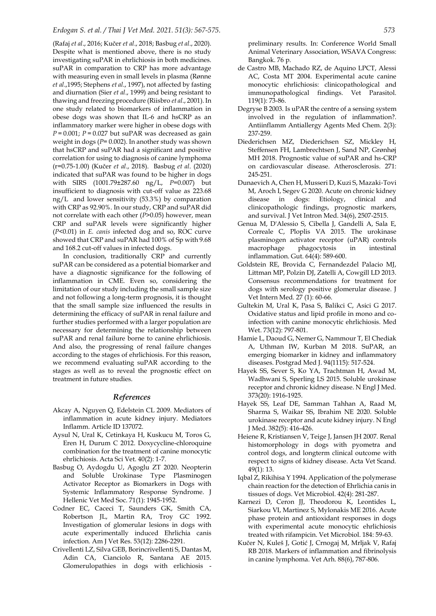#### *Erdogan S. et al. / Thai J Vet Med. 2021. 51(3): 567-575. 573*

(Rafaj *et al*., 2016; Kučer *et al*., 2018; Basbug *et al*., 2020). Despite what is mentioned above, there is no study investigating suPAR in ehrlichiosis in both medicines. suPAR in comparation to CRP has more advantage with measuring even in small levels in plasma (Rønne *et al*.,1995; Stephens *et al*., 1997), not affected by fasting and diurnation (Sier *et al*., 1999) and being resistant to thawing and freezing procedure (Riisbro *et al*., 2001). In one study related to biomarkers of inflammation in obese dogs was shown that IL-6 and hsCRP as an inflammatory marker were higher in obese dogs with  $P = 0.001$ ;  $P = 0.027$  but suPAR was decreased as gain weight in dogs (*P*= 0.002). In another study was shown that hsCRP and suPAR had a significant and positive correlation for using to diagnosis of canine lymphoma (r=0.75-1.00) (Kučer *et al*., 2018). Basbug *et al*. (2020) indicated that suPAR was found to be higher in dogs with SIRS (1001.79±287.60 ng/L, *P*=0.007) but insufficient to diagnosis with cut-off value as 223.68 ng/L and lower sensitivity (53.3%) by comparation with CRP as 92.90%. In our study, CRP and suPAR did not correlate with each other (*P*>0.05) however, mean CRP and suPAR levels were significantly higher (*P*<0.01) in *E. canis* infected dog and so, ROC curve showed that CRP and suPAR had 100% of Sp with 9.68 and 168.2 cut-off values in infected dogs.

In conclusion, traditionally CRP and currently suPAR can be considered as a potential biomarker and have a diagnostic significance for the following of inflammation in CME. Even so, considering the limitation of our study including the small sample size and not following a long-term prognosis, it is thought that the small sample size influenced the results in determining the efficacy of suPAR in renal failure and further studies performed with a larger population are necessary for determining the relationship between suPAR and renal failure borne to canine ehrlichiosis. And also, the progressing of renal failure changes according to the stages of ehrlichiosis. For this reason, we recommend evaluating suPAR according to the stages as well as to reveal the prognostic effect on treatment in future studies.

#### *References*

- Akcay A, Nguyen Q, Edelstein CL 2009. Mediators of inflammation in acute kidney injury. Mediators Inflamm. Article ID 137072.
- Aysul N, Ural K, Cetinkaya H, Kuskucu M, Toros G, Eren H, Durum C 2012. Doxycycline-chloroquine combination for the treatment of canine monocytic ehrlichiosis. Acta Sci Vet. 40(2): 1-7.
- Basbug O, Aydogdu U, Agoglu ZT 2020. Neopterin and Soluble Urokinase Type Plasminogen Activator Receptor as Biomarkers in Dogs with Systemic Inflammatory Response Syndrome. J Hellenic Vet Med Soc. 71(1): 1945-1952.
- Codner EC, Caceci T, Saunders GK, Smith CA, Robertson JL, Martin RA, Troy GC 1992. Investigation of glomerular lesions in dogs with acute experimentally induced Ehrlichia canis infection. Am J Vet Res. 53(12): 2286-2291.
- Crivellenti LZ, Silva GEB, Borincrivellenti S, Dantas M, Adin CA, Cianciolo R, Santana AE 2015. Glomerulopathies in dogs with erlichiosis -

preliminary results. In: Conference World Small Animal Veterinary Association, WSAVA Congress: Bangkok. 76 p.

- de Castro MB, Machado RZ, de Aquino LPCT, Alessi AC, Costa MT 2004. Experimental acute canine monocytic ehrlichiosis: clinicopathological and immunopathological findings. Vet Parasitol. 119(1): 73-86.
- Degryse B 2003. Is uPAR the centre of a sensing system involved in the regulation of inflammation?. Antiinflamm Antiallergy Agents Med Chem. 2(3): 237-259.
- Diederichsen MZ, Diederichsen SZ, Mickley H, Steffensen FH, Lambrechtsen J, Sand NP, Grønhøj MH 2018. Prognostic value of suPAR and hs-CRP on cardiovascular disease. Atherosclerosis. 271: 245-251.
- Dunaevich A, Chen H, Musseri D, Kuzi S, Mazaki‐Tovi M, Aroch I, Segev G 2020. Acute on chronic kidney disease in dogs: Etiology, clinical and clinicopathologic findings, prognostic markers, and survival. J Vet Intron Med. 34(6), 2507-2515.
- Genua M, D'Alessio S, Cibella J, Gandelli A, Sala E, Correale C, Ploplis VA 2015. The urokinase plasminogen activator receptor (uPAR) controls macrophage phagocytosis in intestinal inflammation. Gut. 64(4): 589-600.
- Goldstein RE, Brovida C, Fernandezdel Palacio MJ, Littman MP, Polzin DJ, Zatelli A, Cowgill LD 2013. Consensus recommendations for treatment for dogs with serology positive glomerular disease. J Vet Intern Med. 27 (1): 60-66.
- Gultekin M, Ural K, Pasa S, Balikci C, Asici G 2017. Oxidative status and lipid profile in mono and coinfection with canine monocytic ehrlichiosis. Med Wet. 73(12): 797-801.
- Hamie L, Daoud G, Nemer G, Nammour T, El Chediak A, Uthman IW, Kurban M 2018. SuPAR, an emerging biomarker in kidney and inflammatory diseases. Postgrad Med J. 94(1115): 517-524.
- Hayek SS, Sever S, Ko YA, Trachtman H, Awad M, Wadhwani S, Sperling LS 2015. Soluble urokinase receptor and chronic kidney disease. N Engl J Med. 373(20): 1916-1925.
- Hayek SS, Leaf DE, Samman Tahhan A, Raad M, Sharma S, Waikar SS, Ibrahim NE 2020. Soluble urokinase receptor and acute kidney injury. N Engl J Med. 382(5): 416-426.
- Heiene R, Kristiansen V, Teige J, Jansen JH 2007. Renal histomorphology in dogs with pyometra and control dogs, and longterm clinical outcome with respect to signs of kidney disease. Acta Vet Scand. 49(1): 13.
- Iqbal Z, Rikihisa Y 1994. Application of the polymerase chain reaction for the detection of Ehrlichia canis in tissues of dogs. Vet Microbiol. 42(4): 281-287.
- Karnezi D, Ceron JJ, Theodorou K, Leontides L, Siarkou VI, Martinez S, Mylonakis ME 2016. Acute phase protein and antioxidant responses in dogs with experimental acute monocytic ehrlichiosis treated with rifampicin. Vet Microbiol. 184: 59-63.
- Kučer N, Kuleš J, Gotić J, Crnogaj M, Mrljak V, Rafaj RB 2018. Markers of inflammation and fibrinolysis in canine lymphoma. Vet Arh. 88(6), 787-806.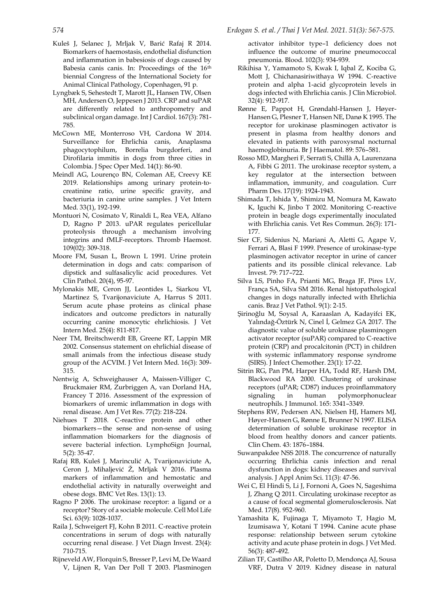- Kuleš J, Selanec J, Mrljak V, Barić Rafaj R 2014. Biomarkers of haemostasis, endothelial disfunction and inflammation in babesiosis of dogs caused by Babesia canis canis. In: Proceedings of the 16th biennial Congress of the International Society for Animal Clinical Pathology, Copenhagen, 91 p.
- Lyngbæk S, Sehestedt T, Marott JL, Hansen TW, Olsen MH, Andersen O, Jeppesen J 2013. CRP and suPAR are differently related to anthropometry and subclinical organ damage. Int J Cardiol. 167(3): 781- 785.
- McCown ME, Monterroso VH, Cardona W 2014. Surveillance for Ehrlichia canis, Anaplasma phagocytophilum, Borrelia burgdorferi, and Dirofilaria immitis in dogs from three cities in Colombia. J Spec Oper Med. 14(1): 86-90.
- Meindl AG, Lourenço BN, Coleman AE, Creevy KE 2019. Relationships among urinary protein-tocreatinine ratio, urine specific gravity, and bacteriuria in canine urine samples. J Vet Intern Med. 33(1), 192-199.
- Montuori N, Cosimato V, Rinaldi L, Rea VEA, Alfano D, Ragno P 2013. uPAR regulates pericellular proteolysis through a mechanism involving integrins and fMLF-receptors. Thromb Haemost. 109(02): 309-318.
- Moore FM, Susan L, Brown L 1991. Urine protein determination in dogs and cats: comparison of dipstick and sulfasalicylic acid procedures. Vet Clin Pathol. 20(4), 95-97.
- Mylonakis ME, Ceron JJ, Leontides L, Siarkou VI, Martinez S, Tvarijonaviciute A, Harrus S 2011. Serum acute phase proteins as clinical phase indicators and outcome predictors in naturally occurring canine monocytic ehrlichiosis. J Vet Intern Med. 25(4): 811-817.
- Neer TM, Breitschwerdt EB, Greene RT, Lappin MR 2002. Consensus statement on ehrlichial disease of small animals from the infectious disease study group of the ACVIM. J Vet Intern Med. 16(3): 309- 315.
- Nentwig A, Schweighauser A, Maissen-Villiger C, Bruckmaier RM, Zurbriggen A, van Dorland HA, Francey T 2016. Assessment of the expression of biomarkers of uremic inflammation in dogs with renal disease. Am J Vet Res. 77(2): 218-224.
- Niehues T 2018. C-reactive protein and other biomarkers—the sense and non-sense of using inflammation biomarkers for the diagnosis of severe bacterial infection. LymphoSign Journal, 5(2): 35-47.
- Rafaj RB, Kuleš J, Marinculić A, Tvarijonaviciute A, Ceron J, Mihaljević Ž, Mrljak V 2016. Plasma markers of inflammation and hemostatic and endothelial activity in naturally overweight and obese dogs. BMC Vet Res. 13(1): 13.
- Ragno P 2006. The urokinase receptor: a ligand or a receptor? Story of a sociable molecule. Cell Mol Life Sci. 63(9): 1028-1037.
- Raila J, Schweigert FJ, Kohn B 2011. C-reactive protein concentrations in serum of dogs with naturally occurring renal disease. J Vet Diagn Invest. 23(4): 710-715.
- Rijneveld AW, Florquin S, Bresser P, Levi M, De Waard V, Lijnen R, Van Der Poll T 2003. Plasminogen

activator inhibitor type–1 deficiency does not influence the outcome of murine pneumococcal pneumonia. Blood. 102(3): 934-939.

- Rikihisa Y, Yamamoto S, Kwak I, Iqbal Z, Kociba G, Mott J, Chichanasiriwithaya W 1994. C-reactive protein and alpha 1-acid glycoprotein levels in dogs infected with Ehrlichia canis. J Clin Microbiol. 32(4): 912-917.
- Rønne E, Pappot H, Grøndahl-Hansen J, Høyer-Hansen G, Plesner T, Hansen NE, Danø K 1995. The receptor for urokinase plasminogen activator is present in plasma from healthy donors and elevated in patients with paroxysmal nocturnal haemoglobinuria. Br J Haematol. 89: 576–581.
- Rosso MD, Margheri F, Serratì S, Chillà A, Laurenzana A, Fibbi G 2011. The urokinase receptor system, a key regulator at the intersection between inflammation, immunity, and coagulation. Curr Pharm Des. 17(19): 1924-1943.
- Shimada T, Ishida Y, Shimizu M, Nomura M, Kawato K, Iguchi K, Jinbo T 2002. Monitoring C-reactive protein in beagle dogs experimentally inoculated with Ehrlichia canis. Vet Res Commun. 26(3): 171- 177.
- Sier CF, Sidenius N, Mariani A, Aletti G, Agape V, Ferrari A, Blasi F 1999. Presence of urokinase-type plasminogen activator receptor in urine of cancer patients and its possible clinical relevance. Lab Invest. 79: 717–722.
- Silva LS, Pinho FA, Prianti MG, Braga JF, Pires LV, França SA, Silva SM 2016. Renal histopathological changes in dogs naturally infected with Ehrlichia canis. Braz J Vet Pathol. 9(1): 2-15.
- Şirinoğlu M, Soysal A, Karaaslan A, Kadayifci EK, Yalındağ-Öztürk N, Cinel İ, Gelmez GA 2017. The diagnostic value of soluble urokinase plasminogen activator receptor (suPAR) compared to C-reactive protein (CRP) and procalcitonin (PCT) in children with systemic inflammatory response syndrome (SIRS). J Infect Chemother. 23(1): 17-22.
- Sitrin RG, Pan PM, Harper HA, Todd RF, Harsh DM, Blackwood RA 2000. Clustering of urokinase receptors (uPAR; CD87) induces proinflammatory signaling in human polymorphonuclear neutrophils. J Immunol. 165: 3341–3349.
- Stephens RW, Pedersen AN, Nielsen HJ, Hamers MJ, Høyer-Hansen G, Rønne E, Brunner N 1997. ELISA determination of soluble urokinase receptor in blood from healthy donors and cancer patients. Clin Chem. 43: 1876–1884.
- Suwanpakdee NSS 2018. The concurrence of naturally occurring Ehrlichia canis infection and renal dysfunction in dogs: kidney diseases and survival analysis. J Appl Anim Sci. 11(3): 47-56.
- Wei C, El Hindi S, Li J, Fornoni A, Goes N, Sageshima J, Zhang Q 2011. Circulating urokinase receptor as a cause of focal segmental glomerulosclerosis. Nat Med. 17(8). 952-960.
- Yamashita K, Fujinaga T, Miyamoto T, Hagio M, Izumisawa Y, Kotani T 1994. Canine acute phase response: relationship between serum cytokine activity and acute phase protein in dogs. J Vet Med. 56(3): 487-492.
- Zilian TF, Castilho AR, Poletto D, Mendonça AJ, Sousa VRF, Dutra V 2019. Kidney disease in natural